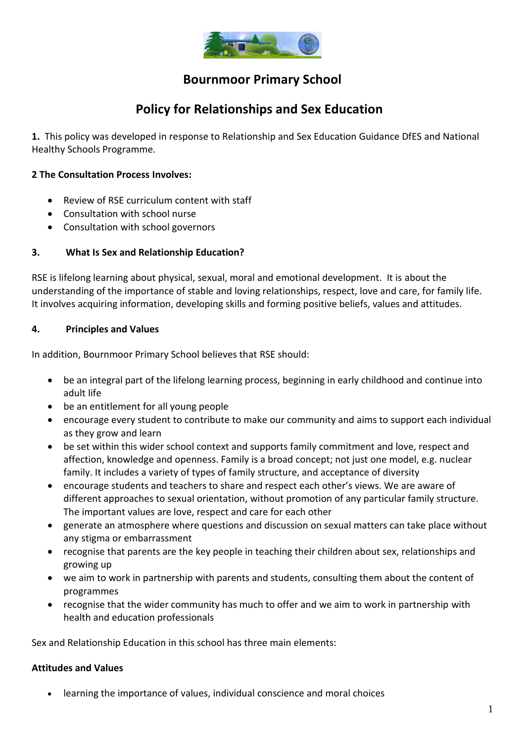

# **Bournmoor Primary School**

# **Policy for Relationships and Sex Education**

**1.** This policy was developed in response to Relationship and Sex Education Guidance DfES and National Healthy Schools Programme.

#### **2 The Consultation Process Involves:**

- Review of RSE curriculum content with staff
- Consultation with school nurse
- Consultation with school governors

## **3. What Is Sex and Relationship Education?**

RSE is lifelong learning about physical, sexual, moral and emotional development. It is about the understanding of the importance of stable and loving relationships, respect, love and care, for family life. It involves acquiring information, developing skills and forming positive beliefs, values and attitudes.

#### **4. Principles and Values**

In addition, Bournmoor Primary School believes that RSE should:

- be an integral part of the lifelong learning process, beginning in early childhood and continue into adult life
- be an entitlement for all young people
- encourage every student to contribute to make our community and aims to support each individual as they grow and learn
- be set within this wider school context and supports family commitment and love, respect and affection, knowledge and openness. Family is a broad concept; not just one model, e.g. nuclear family. It includes a variety of types of family structure, and acceptance of diversity
- encourage students and teachers to share and respect each other's views. We are aware of different approaches to sexual orientation, without promotion of any particular family structure. The important values are love, respect and care for each other
- generate an atmosphere where questions and discussion on sexual matters can take place without any stigma or embarrassment
- recognise that parents are the key people in teaching their children about sex, relationships and growing up
- we aim to work in partnership with parents and students, consulting them about the content of programmes
- recognise that the wider community has much to offer and we aim to work in partnership with health and education professionals

Sex and Relationship Education in this school has three main elements:

#### **Attitudes and Values**

• learning the importance of values, individual conscience and moral choices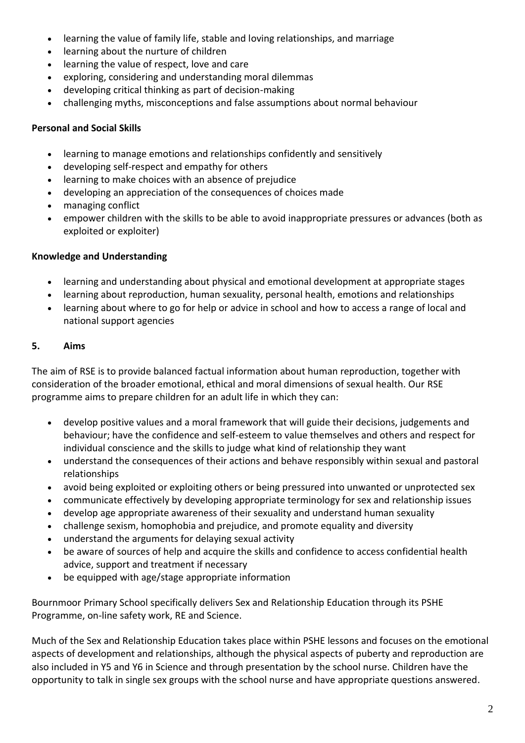- learning the value of family life, stable and loving relationships, and marriage
- learning about the nurture of children
- learning the value of respect, love and care
- exploring, considering and understanding moral dilemmas
- developing critical thinking as part of decision-making
- challenging myths, misconceptions and false assumptions about normal behaviour

#### **Personal and Social Skills**

- learning to manage emotions and relationships confidently and sensitively
- developing self-respect and empathy for others
- learning to make choices with an absence of prejudice
- developing an appreciation of the consequences of choices made
- managing conflict
- empower children with the skills to be able to avoid inappropriate pressures or advances (both as exploited or exploiter)

## **Knowledge and Understanding**

- learning and understanding about physical and emotional development at appropriate stages
- learning about reproduction, human sexuality, personal health, emotions and relationships
- learning about where to go for help or advice in school and how to access a range of local and national support agencies

## **5. Aims**

The aim of RSE is to provide balanced factual information about human reproduction, together with consideration of the broader emotional, ethical and moral dimensions of sexual health. Our RSE programme aims to prepare children for an adult life in which they can:

- develop positive values and a moral framework that will guide their decisions, judgements and behaviour; have the confidence and self-esteem to value themselves and others and respect for individual conscience and the skills to judge what kind of relationship they want
- understand the consequences of their actions and behave responsibly within sexual and pastoral relationships
- avoid being exploited or exploiting others or being pressured into unwanted or unprotected sex
- communicate effectively by developing appropriate terminology for sex and relationship issues
- develop age appropriate awareness of their sexuality and understand human sexuality
- challenge sexism, homophobia and prejudice, and promote equality and diversity
- understand the arguments for delaying sexual activity
- be aware of sources of help and acquire the skills and confidence to access confidential health advice, support and treatment if necessary
- be equipped with age/stage appropriate information

Bournmoor Primary School specifically delivers Sex and Relationship Education through its PSHE Programme, on-line safety work, RE and Science.

Much of the Sex and Relationship Education takes place within PSHE lessons and focuses on the emotional aspects of development and relationships, although the physical aspects of puberty and reproduction are also included in Y5 and Y6 in Science and through presentation by the school nurse. Children have the opportunity to talk in single sex groups with the school nurse and have appropriate questions answered.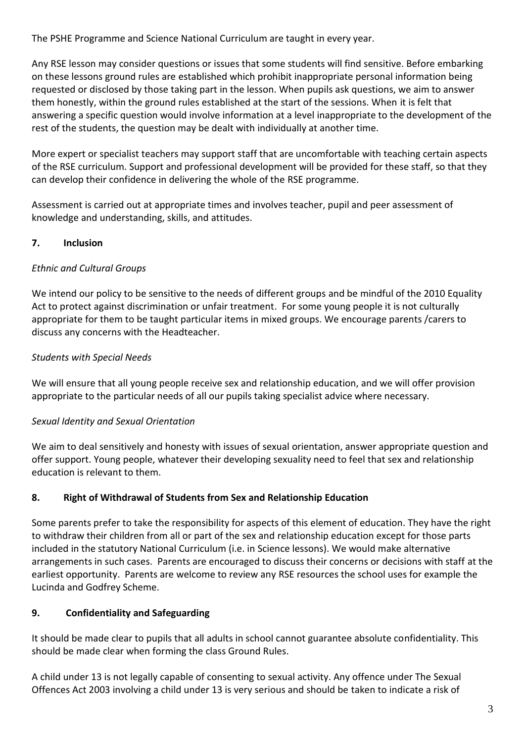The PSHE Programme and Science National Curriculum are taught in every year.

Any RSE lesson may consider questions or issues that some students will find sensitive. Before embarking on these lessons ground rules are established which prohibit inappropriate personal information being requested or disclosed by those taking part in the lesson. When pupils ask questions, we aim to answer them honestly, within the ground rules established at the start of the sessions. When it is felt that answering a specific question would involve information at a level inappropriate to the development of the rest of the students, the question may be dealt with individually at another time.

More expert or specialist teachers may support staff that are uncomfortable with teaching certain aspects of the RSE curriculum. Support and professional development will be provided for these staff, so that they can develop their confidence in delivering the whole of the RSE programme.

Assessment is carried out at appropriate times and involves teacher, pupil and peer assessment of knowledge and understanding, skills, and attitudes.

## **7. Inclusion**

# *Ethnic and Cultural Groups*

We intend our policy to be sensitive to the needs of different groups and be mindful of the 2010 Equality Act to protect against discrimination or unfair treatment. For some young people it is not culturally appropriate for them to be taught particular items in mixed groups. We encourage parents /carers to discuss any concerns with the Headteacher.

# *Students with Special Needs*

We will ensure that all young people receive sex and relationship education, and we will offer provision appropriate to the particular needs of all our pupils taking specialist advice where necessary.

# *Sexual Identity and Sexual Orientation*

We aim to deal sensitively and honesty with issues of sexual orientation, answer appropriate question and offer support. Young people, whatever their developing sexuality need to feel that sex and relationship education is relevant to them.

# **8. Right of Withdrawal of Students from Sex and Relationship Education**

Some parents prefer to take the responsibility for aspects of this element of education. They have the right to withdraw their children from all or part of the sex and relationship education except for those parts included in the statutory National Curriculum (i.e. in Science lessons). We would make alternative arrangements in such cases. Parents are encouraged to discuss their concerns or decisions with staff at the earliest opportunity. Parents are welcome to review any RSE resources the school uses for example the Lucinda and Godfrey Scheme.

# **9. Confidentiality and Safeguarding**

It should be made clear to pupils that all adults in school cannot guarantee absolute confidentiality. This should be made clear when forming the class Ground Rules.

A child under 13 is not legally capable of consenting to sexual activity. Any offence under The Sexual Offences Act 2003 involving a child under 13 is very serious and should be taken to indicate a risk of